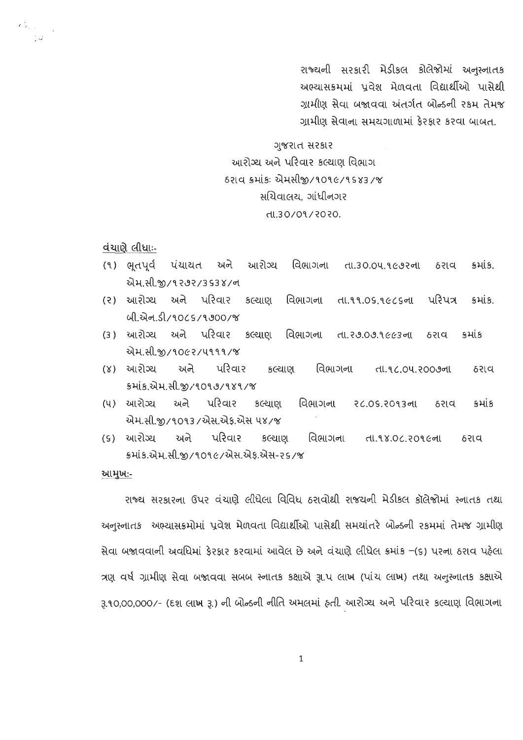રાજ્યની સરકારી મેડીકલ કોલેજોમાં અનુસ્નાતક અભ્યાસક્રમમાં પ્રવેશ મેળવતા વિદ્યાર્થીઓ પાસેથી ગામીણ સેવા બજાવવા અંતર્ગત બોન્ડની રકમ તેમજ ગ્રામીણ સેવાના સમયગાળામાં કેરકાર કરવા બાબત.

## ગુજરાત સરકાર આરોગ્ય અને પરિવાર કલ્યાણ વિભાગ 6રાવ ક્રમાંકઃ એમસીજી/૧૦૧૯/૧૬૪૩/જ સચિવાલય. ગાંધીનગર dl.30/09/2020.

વંચાણે લીધાઃ-

 $\epsilon_{\rm esc}^{\rm 2}$ 

- (૧) ભૂતપૂર્વ પંચાયત અને આરોગ્ય વિભાગના તા.30.04.9692ના ઠરાવ કમાંક. એમ.સી.જી/૧૨૭૨/353४/ન
- (૨) આરોગ્ય અને પરિવાર કલ્યાણ વિભાગના પરિપત્ર તા.૧૧.૦૬.૧૯૮૬ના કમાંક. ul.सेन.ડી/१०८५/१७००/%
- (3) આરોગ્ય અને પરિવાર કલ્યાણ વિભાગના તા. ર૭.૦૭.૧૯૯૩ ના કમાંક ઠરાવ એમ.સી.જી/૧૦૯૨/૫૧૧૧/જ
- (૪) આરોગ્ય અને પરિવાર કલ્યાણ વિભાગના તા.૧૮.૦૫.૨૦૦૭ના ઠરાવ કમાંક.એમ.સી.જી/૧૦૧૭/૧૪૧/જ
- (૫) આરોગ્ય અને પરિવાર કલ્યાણ વિભાગના २८.०५.२०१३ना કમાંક ઠરાવ એમ.સી.જી/૧૦૧૩/એસ.એફ.એસ ૫૪/જ
- (૬) આરોગ્ય અને પરિવાર કલ્યાણ વિભાગના તા.૧૪.૦૮.૨૦૧૯ના ઠરાવ ક્રમાંક.એમ.સી.જી/૧૦૧૯/એસ.એક.એસ-૨૬/જ

આમુખ:-

રાજ્ય સરકારના ઉપર વંચાણે લીધેલા વિવિધ ઠરાવોથી રાજયની મેડીકલ કૉલેજોમાં સ્નાતક તથા અનુસ્નાતક અભ્યાસક્રમોમાં પ્રવેશ મેળવતા વિદ્યાર્થીઓ પાસેથી સમયાંતરે બોન્ડની રકમમાં તેમજ ગ્રામીણ સેવા બજાવવાની અવધિમાં ફેરફાર કરવામાં આવેલ છે અને વંચાણે લીધેલ ક્રમાંક –(૬) પરના ઠરાવ પહેલા ત્રણ વર્ષ ગ્રામીણ સેવા બજાવવા સબબ સ્નાતક કક્ષાએ રૂા.પ લાખ (પાંચ લાખ) તથા અનુસ્નાતક કક્ષાએ રૂ.૧૦,૦૦,૦૦૦/- (દશ લાખ રૂ.) ની બોન્ડની નીતિ અમલમાં હતી. આરોગ્ય અને પરિવાર કલ્યાણ વિભાગના

 $\mathbf 1$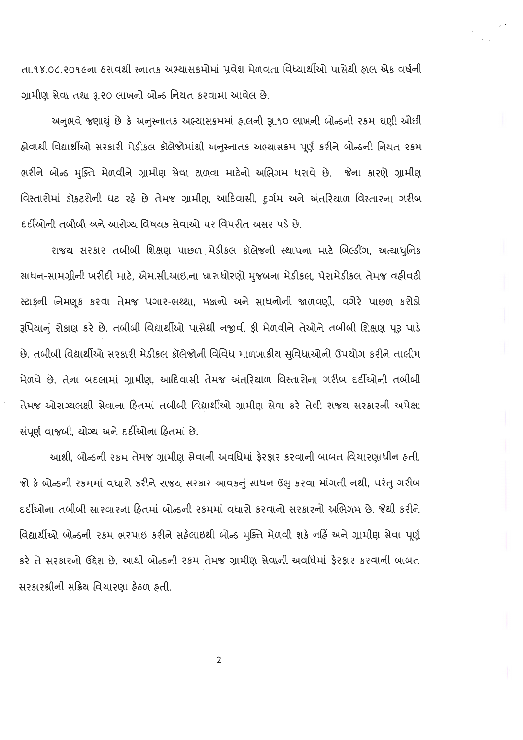તા.૧૪.૦૮.૨૦૧૯ના ઠરાવથી સ્નાતક અભ્યાસક્રમોમાં પ્રવેશ મેળવતા વિધ્યાર્થીઓ પાસેથી હ્રાલ એક વર્ષની ગ્રામીણ સેવા તથા રૂ.૨૦ લાખનો બોન્ડ નિયત કરવામા આવેલ છે.

અનુભવે જણાયું છે કે અનુસ્નાતક અભ્યાસક્રમમાં હ્રાલની રૂા.૧૦ લાખની બોન્ડની ૨કમ ઘણી ઓછી હોવાથી વિદ્યાર્થીઓ સરકારી મેડીકલ કૉલેજોમાંથી અનુસ્નાતક અભ્યાસક્રમ પૂર્ણ કરીને બોન્ડની નિયત ૨કમ ભરીને બોન્ડ મુક્તિ મેળવીને ગ્રામીણ સેવા ટાળવા માટેનો અભિગમ ધરાવે છે. જેના કારણે ગ્રામીણ વિસ્તારોમાં ડૉકટરોની ઘટ રહે છે તેમજ ગ્રામીણ, આદિવાસી, દુર્ગમ અને અંતરિયાળ વિસ્તારના ગરીબ દર્દીઓની તબીબી અને આરોગ્ય વિષયક સેવાઓ પર વિપરીત અસર પડે છે.

રાજય સરકાર તબીબી શિક્ષણ પાછળ મેડીકલ કૉલેજની સ્થાપના માટે બિલ્ડીંગ, અત્યાધુનિક સાધન-સામગ્રીની ખરીદી માટે, એમ.સી.આઇ.ના ધારાધોરણો મુજબના મેડીકલ, પેરામેડીકલ તેમજ વઠીવટી સ્ટાફની નિમણૂક કરવા તેમજ પગાર-ભથ્થા, મકાનો અને સાધનોની જાળવણી, વગેરે પાછળ કરોડો રૂપિયાનું રોકાણ કરે છે. તબીબી વિદ્યાર્થીઓ પાસેથી નજીવી ફી મેળવીને તેઓને તબીબી શિક્ષણ પૂરૂ પાડે છે. તબીબી વિદ્યાર્થીઓ સરકારી મેડીકલ કૉલેજોની વિવિધ માળખાકીય સુવિધાઓનો ઉપયોગ કરીને તાલીમ મેળવે છે. તેના બદલામાં ગ્રામીણ, આદિવાસી તેમજ અંતરિયાળ વિસ્તારોના ગરીબ દર્દીઓની તબીબી તેમજ ઓરાગ્યલક્ષી સેવાના હિતમાં તબીબી વિદ્યાર્થીઓ ગ્રામીણ સેવા કરે તેવી રાજય સરકારની અપેક્ષા સંપૂર્ણ વાજબી, ચોગ્ય અને દર્દીઓના હિતમાં છે.

આથી. બોન્ડની ૨કમ તેમજ ગ્રામીણ સેવાની અવધિમાં ફેરફાર કરવાની બાબત વિચારણાધીન હતી. જો કે બોન્ડની રકમમાં વધારો કરીને રાજય સરકાર આવકનું સાધન ઉભુ કરવા માંગતી નથી, પરંતુ ગરીબ દર્દીઓના તબીબી સારવારના હિતમાં બોન્ડની રકમમાં વધારો કરવાનો સરકારનો અભિગમ છે. જેથી કરીને વિદ્યાર્થીઓ બોન્ડની રકમ ભરપાઇ કરીને સહેલાઇથી બોન્ડ મુક્તિ મેળવી શકે નહિં અને ગ્રામીણ સેવા પૂર્ણ કરે તે સરકારનો ઉદ્દેશ છે. આથી બોન્ડની રકમ તેમજ ગ્રામીણ સેવાની અવધિમાં ફેરફાર કરવાની બાબત સરકારશ્રીની સક્રિય વિચારણા ફેઠળ ફતી.

 $\overline{2}$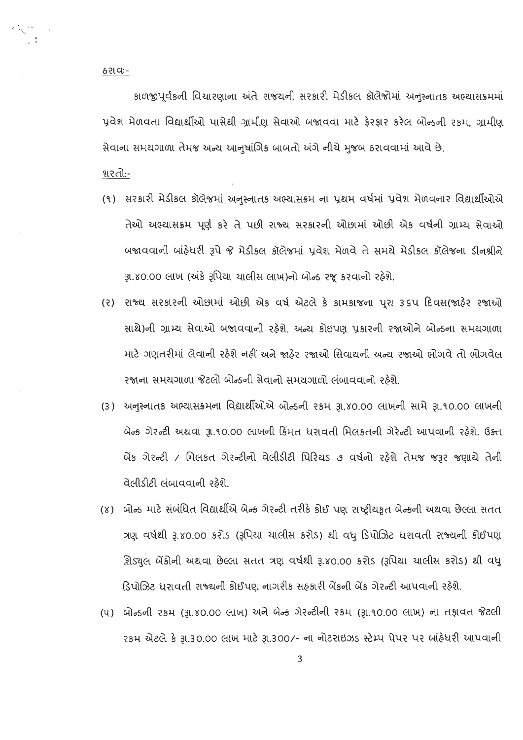ઠરાવઃ-

કાળજીપૂર્વકની વિચારણાના અંતે રાજયની સરકારી મેડીકલ કૉલેજોમાં અનુસ્નાતક અભ્યાસક્રમમાં પૂવેશ મેળવતા વિદ્યાર્થીઓ પાસેથી ગ્રામીણ સેવાઓ બજાવવા માટે કેરકાર કરેલ બોન્ડની રકમ, ગ્રામીણ સેવાના સમયગાળા તેમજ અન્ય આનુષાંગિક બાબતો અંગે નીચે મુજબ ઠરાવવામાં આવે છે.

<u>શરતો:-</u>

- (૧) સરકારી મેડીકલ કૉલેજમાં અનુસ્નાતક અભ્યાસક્રમ ના પ્રથમ વર્ષમાં પ્રવેશ મેળવનાર વિદ્યાર્થીઓએ તેઓ અભ્યાસક્રમ પૂર્ણ કરે તે પછી રાજ્ય સરકારની ઓછામાં ઓછી એક વર્ષની ગ્રામ્ય સેવાઓ બજાવવાની બાંઠેધરી રૂપે જે મેડીકલ કૉલેજમાં પ્રવેશ મેળવે તે સમયે મેડીકલ કૉલેજના ડીનશ્રીને રૂા.૪૦.૦૦ લાખ (અંકે રૂપિયા ચાલીસ લાખ)નો બોન્ડ રજૂ કરવાનો રહેશે.
- (૨) રાજ્ય સરકારની ઓછામાં ઓછી એક વર્ષ એટલે કે કામકાજના પૂરા ૩૬૫ દિવસ(જાર્ટેર રજાઓ સાથે)ની ગ્રામ્ય સેવાઓ બજાવવાની રહેશે. અન્ય કોઇપણ પ્રકારની રજાઓને બોન્ડના સમયગાળા માટે ગણતરીમાં લેવાની રહેશે નહીં અને જાહેર રજાઓ સિવાયની અન્ય રજાઓ ભોગવે તો ભોગવેલ રજાના સમયગાળા જેટલો બોન્ડની સેવાનો સમયગાળો લંબાવવાનો રહેશે.
- (3) અનુસ્નાતક અભ્યાસક્રમના વિદ્યાર્થીઓએ બોન્ડની ૨કમ રૂા.૪૦.૦૦ લાખની સામે રૂા.૧૦.૦૦ લાખની બેન્ક ગેરન્ટી અથવા રૂ.૧૦.૦૦ લાખની કિંમત ધરાવતી મિલકતની ગેરેન્ટી આપવાની રહેશે. ઉક્ત બેંક ગેરન્ટી / મિલકત ગેરન્ટીનો વેલીડીટી પિરિયડ ૭ વર્ષનો રહેશે તેમજ જરૂર જણાયે તેની વેલીડીટી લંબાવવાની રહેશે.
- (૪) બોન્ડ માટે સંબંધિત વિદ્યાર્થીએ બેન્ક ગેરન્ટી તરીકે કોઈ પણ રાષ્ટ્રીયકૃત બેન્કની અથવા છેલ્લા સતત ત્રણ વર્ષથી રૂ.૪૦.૦૦ કરોડ (રૂપિયા યાલીસ કરોડ) થી વધુ ડિપોઝિટ ધરાવતી રાજ્યની કોઈપણ શિડ્યુલ બેંકોની અથવા છેલ્લા સતત ત્રણ વર્ષથી રૂ.૪૦.૦૦ કરોડ (રૂપિયા ચાલીસ કરોડ) થી વધુ ડિપોઝિટ ધરાવતી રાજ્યની કોઈપણ નાગરીક સફકારી બેંકની બેંક ગેરન્ટી આપવાની રહેશે.
- (૫) બોન્ડની રકમ (રૂા.૪૦.૦૦ લાખ) અને બેન્ક ગેરન્ટીની રકમ (રૂા.૧૦.૦૦ લાખ) ના તફાવત જેટલી રકમ એટલે કે રૂા.30.00 લાખ માટે રૂા.300/- ના નોટરાઇઝડ સ્ટેમ્પ પેપર પર બાંહેધરી આપવાની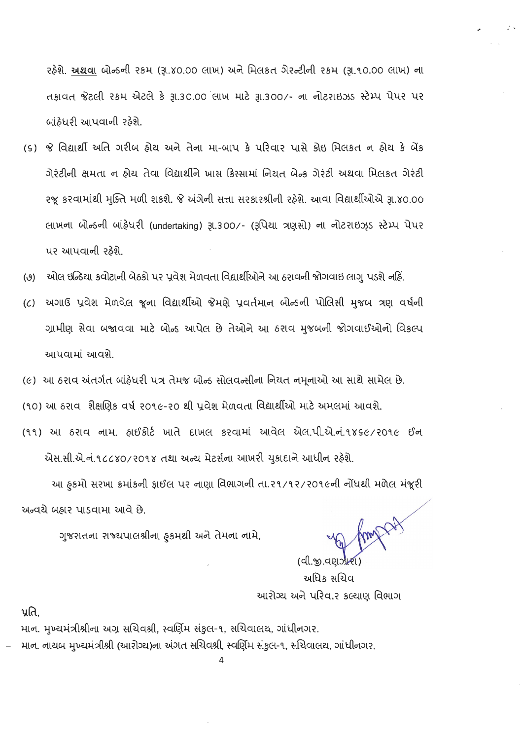રહેશે. <u>અથવા</u> બોન્ડની રકમ (રૂા.૪૦.૦૦ લાખ) અને મિલકત ગેરન્ટીની રકમ (રૂા.૧૦.૦૦ લાખ) ના તકાવત જેટલી રકમ એટલે કે રૂા.30.00 લાખ માટે રૂા.300/- ના નોટરાઇઝડ સ્ટેમ્પ પેપર પર બાંઠેધરી આપવાની રહેશે.

- (s) જે વિદ્યાર્થી અતિ ગરીબ હોય અને તેના મા-બાપ કે પરિવાર પાસે કોઇ મિલકત ન હોય કે બેંક ગેરંટીની ક્ષમતા ન ઠોય તેવા વિદ્યાર્થીને ખાસ કિસ્સામાં નિયત બેન્ક ગેરંટી અથવા મિલકત ગેરંટી રજૂ કરવામાંથી મુક્તિ મળી શકશે. જે અંગેની સત્તા સરકારશ્રીની રહેશે. આવા વિદ્યાર્થીઓએ રૂા.૪૦.૦૦ લાખના બોન્ડની બાંફેધરી (undertaking) રૂા.300/- (રૂપિયા ત્રણસો) ના નોટરાઇઝ઼ડ સ્ટેમ્પ પેપર પર આપવાની રઠેશે.
- ઓલ ઇન્ડિયા કવોટાની બેઠકો પર પ્રવેશ મેળવતા વિદ્યાર્થીઓને આ ઠરાવની જોગવાઇ લાગુ પડશે નહિં.  $(9)$
- (૮) અગાઉ પ્રવેશ મેળવેલ જૂના વિદ્યાર્થીઓ જેમણે પ્રવર્તમાન બોન્ડની પોલિસી મુજબ ત્રણ વર્ષની ગ્રામીણ સેવા બજાવવા માટે બોન્ડ આપેલ છે તેઓને આ ઠરાવ મુજબની જોગવાઈઓનો વિકલ્પ આપવામાં આવશે.
- (૯) આ ઠરાવ અંતર્ગત બાંઠ્ઠેધરી પત્ર તેમજ બોન્ડ સોલવન્સીના નિયત નમૂનાઓ આ સાથે સામેલ છે.
- (૧૦) આ ઠરાવ શૈક્ષણિક વર્ષ ૨૦૧૯-૨૦ થી પ્રવેશ મેળવતા વિદ્યાર્થીઓ માટે અમલમાં આવશે.
- (૧૧) આ ઠરાવ નામ. હ્રાઈકોર્ટ ખાતે દાખલ કરવામાં આવેલ એલ.પી.એ.નં.૧૪૬૯/૨૦૧૯ ઈન એસ.સી.એ.નં.૧૮૮૪૦/૨૦૧૪ તથા અન્ય મેટર્સના આખરી યુકાદાને આધીન રહેશે.

આ હૃકમો સરખા ક્રમાંકની ફાઈલ પર નાણા વિભાગની તા.૨૧/૧૨/૨૦૧૯ની નોંધથી મળેલ મંજૂરી અન્વચે બઠાર પાડવામા આવે છે. Amp

ગુજરાતના રાજ્યપાલશ્રીના હકમથી અને તેમના નામે,

(વી.જી.વણઝી અધિક સચિવ આરોગ્ય અને પરિવાર કલ્યાણ વિભાગ

પ્રતિ.

માન. મુખ્યમંત્રીશ્રીના અગ્ર સચિવશ્રી, સ્વર્ણિમ સંકુલ-૧, સચિવાલય, ગાંધીનગર. માન, નાચબ મુખ્યમંત્રીશ્રી (આરોગ્ય)ના અંગત સચિવશ્રી, સ્વર્ણિમ સંકુલ-૧, સચિવાલય, ગાંધીનગર.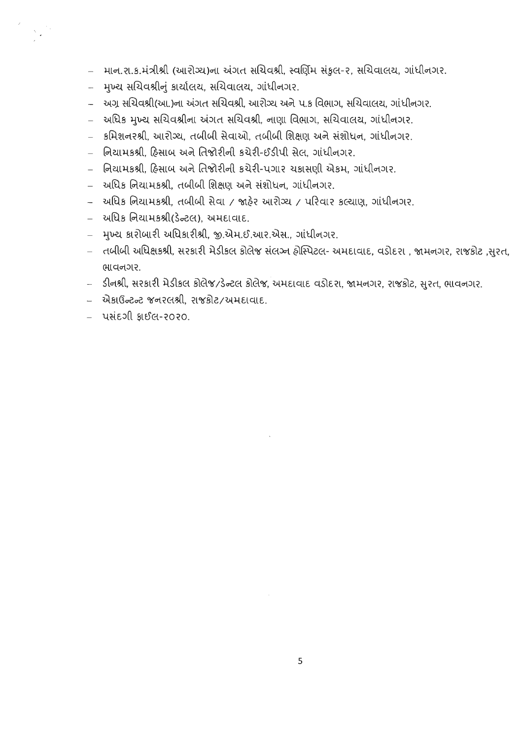- માન.રા.ક.મંત્રીશ્રી (આરોગ્ય)ના અંગત સચિવશ્રી, સ્વર્ણિમ સંકુલ-૨, સચિવાલય, ગાંધીનગર.
- મુખ્ય સચિવશ્રીનું કાર્યાલય, સચિવાલય, ગાંધીનગર.
- અગ્ર સચિવશ્રી(આ.)ના અંગત સચિવશ્રી, આરોગ્ય અને પ.ક વિભાગ, સચિવાલય, ગાંધીનગર.
- અધિક મુખ્ય સચિવશ્રીના અંગત સચિવશ્રી, નાણા વિભાગ, સચિવાલય, ગાંધીનગર.
- કમિશનરશ્રી, આરોગ્ય, તબીબી સેવાઓ, તબીબી શિક્ષણ અને સંશોધન, ગાંધીનગર.
- નિયામકશ્રી, હિસાબ અને તિજોરીની કચેરી-ઈડીપી સેલ, ગાંધીનગર.
- િ નિયામકશ્રી, હિસાબ અને તિજોરીની કચેરી-પગાર ચકાસણી એકમ, ગાંધીનગર,
- અધિક નિયામકશ્રી, તબીબી શિક્ષણ અને સંશોધન, ગાંધીનગર.
- અધિક નિયામકશ્રી, તબીબી સેવા / જાહેર આરોગ્ય / પરિવાર કલ્યાણ, ગાંધીનગર.
- અધિક નિયામકશ્રી(ડેન્ટલ), અમદાવાદ.
- મુખ્ય કારોબારી અધિકારીશ્રી, જી.એમ.ઈ.આર.એસ., ગાંધીનગર.
- તબીબી અધિક્ષકશ્રી, સરકારી મેડીકલ કોલેજ સંલગ્ન હોસ્પિટલ- અમદાવાદ, વડોદરા , જામનગર, રાજકોટ ,સુરત, ભાવનગર.
- ડીનશ્રી, સરકારી મેડીકલ કોલેજ/ડેન્ટલ કોલેજ, અમદાવાદ વડોદરા, જામનગર, રાજકોટ, સુરત, ભાવનગર.
- એકાઉન્ટન્ટ જનરલશ્રી, રાજકોટ/અમદાવાદ.
- પસંદગી ક્રાઈલ-૨૦૨૦.

 $\sum_{i=1}^n \frac{1}{i} \sum_{j=1}^n \frac{1}{j} \sum_{j=1}^n \frac{1}{j} \sum_{j=1}^n \frac{1}{j} \sum_{j=1}^n \frac{1}{j} \sum_{j=1}^n \frac{1}{j} \sum_{j=1}^n \frac{1}{j} \sum_{j=1}^n \frac{1}{j} \sum_{j=1}^n \frac{1}{j} \sum_{j=1}^n \frac{1}{j} \sum_{j=1}^n \frac{1}{j} \sum_{j=1}^n \frac{1}{j} \sum_{j=1}^n \frac{1}{j} \sum_{j=1}^n \frac{$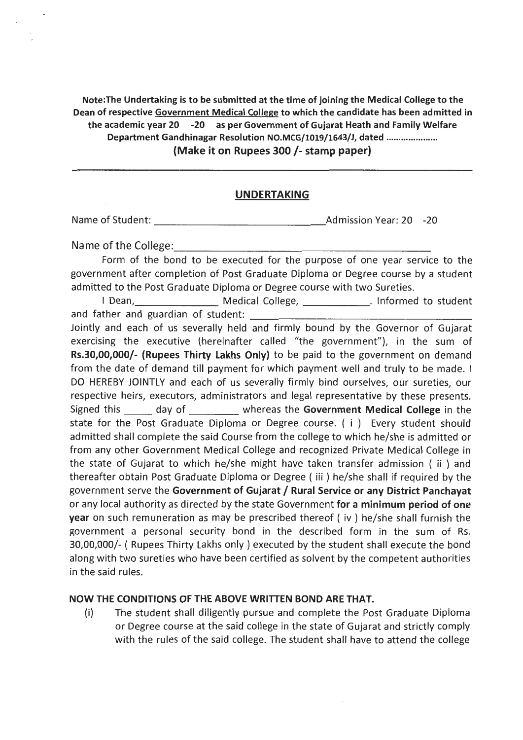Note:The Undertaking is to be submitted at the time of joining the Medical College to the Dean of respective Government Medical College to which the candidate has been admitted in the academic year 20 -20 as per Government of Gujarat Heath and Family Welfare Department Gandhinagar Resolution NO.MCG/1019/1643/J, dated .................... . (Make it on Rupees 300 /- stamp paper)

#### UNDERTAKING

'

Name of Student: Admission Year: 20 -20 --------------·

Name of the College:

Form of the bond to be executed for the purpose of one year service to the government after completion of Post Graduate Diploma or Degree course by a student admitted to the Post Graduate Diploma or Degree course with two Sureties.

I Dean, Medical College, Medical Processors and father and guardian of student:

Jointly and each of us severally held and firmly bound by the Governor of Gujarat exercising the executive (hereinafter called "the government"), in the sum of Rs.30,00,000/- (Rupees Thirty Lakhs Only) to be paid to the government on demand from the date of demand till payment for which payment well and truly to be made. I DO HEREBY JOINTLY and each of us severally firmly bind ourselves, our sureties, our respective heirs, executors, administrators and legal representative by these presents. Signed this \_\_\_\_\_\_ day of \_\_\_\_\_\_\_\_\_\_ whereas the Government Medical College in the state for the Post Graduate Diploma or Degree course. ( i ) Every student should admitted shall complete the said Course from the college to which he/she is admitted or from any other Government Medical College and recognized Private Medical College in the state of Gujarat to which he/she might have taken transfer admission ( ii ) and thereafter obtain Post Graduate Diploma or Degree ( iii ) he/she shall if required by the government serve the Government of Gujarat/ Rural Service or any District Panchayat or any local authority as directed by the state Government for a minimum period of one year on such remuneration as may be prescribed thereof ( iv ) he/she shall furnish the government a personal security bond in the described form in the sum of Rs. 30,00,000/- ( Rupees Thirty Lakhs only ) executed by the student shall execute the bond along with two sureties who have been certified as solvent by the competent authorities in the said rules.

#### NOW THE CONDITIONS OF THE ABOVE WRITTEN BOND ARE THAT.

(i) The student shall diligently pursue and complete the Post Graduate Diploma or Degree course at the said college in the state of Gujarat and strictly comply with the rules of the said college. The student shall have to attend the college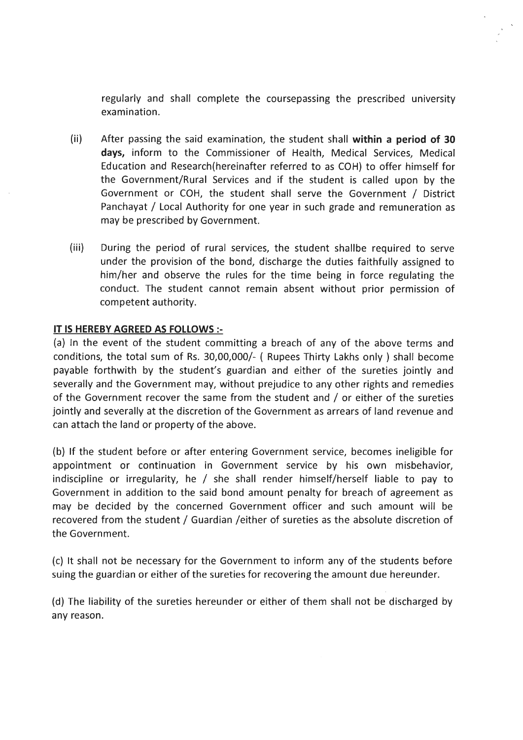regularly and shall complete the coursepassing the prescribed university examination.

- (ii) After passing the said examination, the student shall **within a period of 30 days,** inform to the Commissioner of Health, Medical Services, Medical Education and Research(hereinafter referred to as COH) to offer himself for the Government/Rural Services and if the student is called upon by the Government or COH, the student shall serve the Government / District Panchayat / Local Authority for one year in such grade and remuneration as may be prescribed by Government.
- (iii) During the period of rural services, the student shallbe required to serve under the provision of the bond, discharge the duties faithfully assigned to him/her and observe the rules for the time being in force regulating the conduct. The student cannot remain absent without prior permission of competent authority.

#### **IT IS HEREBY AGREED AS FOLLOWS:-**

(a) In the event of the student committing a breach of any of the above terms and conditions, the total sum of Rs. 30,00,000/- ( Rupees Thirty Lakhs only ) shall become payable forthwith by the student's guardian and either of the sureties jointly and severally and the Government may, without prejudice to any other rights and remedies of the Government recover the same from the student and / or either of the sureties jointly and severally at the discretion of the Government as arrears of land revenue and can attach the land or property of the above.

(b) If the student before or after entering Government service, becomes ineligible for appointment or continuation in Government service by his own misbehavior, indiscipline or irregularity, he  $/$  she shall render himself/herself liable to pay to Government in addition to the said bond amount penalty for breach of agreement as may be decided by the concerned Government officer and such amount will be recovered from the student / Guardian /either of sureties as the absolute discretion of the Government.

(c) It shall not be necessary for the Government to inform any of the students before suing the guardian or either of the sureties for recovering the amount due hereunder.

(d) The liability of the sureties hereunder or either of them shall not be discharged by any reason.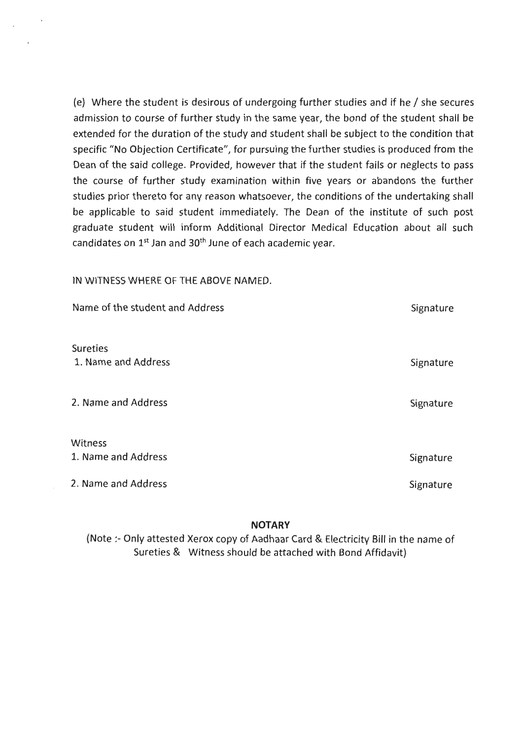(e) Where the student is desirous of undergoing further studies and if he/ she secures admission to course of further study in the same year, the bond of the student shall be extended for the duration of the study and student shall be subject to the condition that specific "No Objection Certificate", for pursuing the further studies is produced from the Dean of the said college. Provided, however that if the student fails or neglects to pass the course of further study examination within five years or abandons the further studies prior thereto for any reason whatsoever, the conditions of the undertaking shall be applicable to said student immediately. The Dean of the institute of such post graduate student will inform Additional Director Medical Education about all such candidates on  $1^{st}$  Jan and  $30^{th}$  June of each academic year.

IN WITNESS WHERE OF THE ABOVE NAMED.

| Name of the student and Address        | Signature |
|----------------------------------------|-----------|
| <b>Sureties</b><br>1. Name and Address | Signature |
| 2. Name and Address                    | Signature |
| Witness<br>1. Name and Address         | Signature |
| 2. Name and Address                    | Signature |

**NOTARY** 

(Note :- Only attested Xerox copy of Aadhaar Card & Electricity Bill in the name of Sureties & Witness should be attached with Bond Affidavit)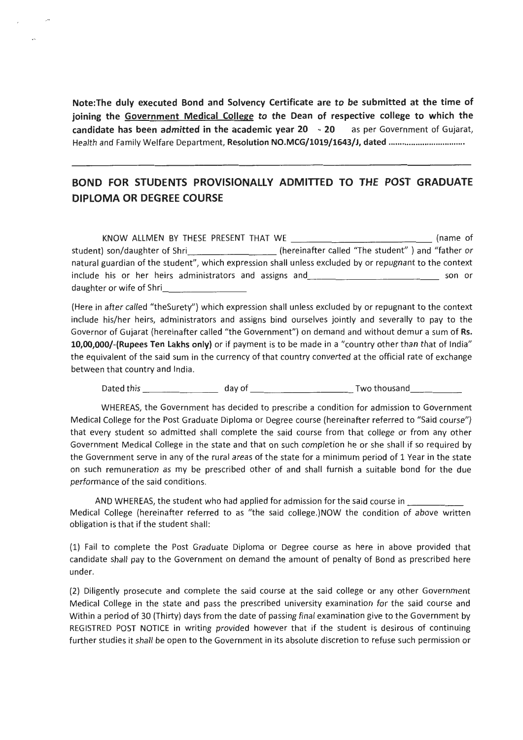**Note:The duly executed Bond and Solvency Certificate are to be submitted at the time of joining the Government Medical College to the Dean of respective college to which the candidate has been admitted in the academic year 20 - 20** as per Government of Gujarat, Health and Family Welfare Department, **Resolution NO.MCG/1019/1643/J, dated** ................................ ..

,.

### **BOND FOR STUDENTS PROVISIONALLY ADMITIED TO THE POST GRADUATE DIPLOMA OR DEGREE COURSE**

KNOW ALLMEN BY THESE PRESENT THAT WE \_\_\_\_\_\_\_\_\_\_\_\_ (name of student) son/daughter of Shri \_\_\_\_\_\_\_\_\_\_\_\_\_\_\_\_\_\_\_\_\_(hereinafter called "The student" ) and "father or natural guardian of the student", which expression shall unless excluded by or repugnant to the context include his or her heirs administrators and assigns and \_\_\_\_\_\_\_\_\_\_\_\_ \_ son or daughter or wife of Shri

(Here in after called "theSurety") which expression shall unless excluded by or repugnant to the context include his/her heirs, administrators and assigns bind ourselves jointly and severally to pay to the Governor of Gujarat (hereinafter called "the Government") on demand and without demur a sum of Rs. **10,00,000/-(Rupees Ten Lakhs only)** or if payment is to be made in a "country other than that of India" the equivalent of the said sum in the currency of that country converted at the official rate of exchange between that country and India.

Dated this \_\_\_\_\_\_ \_ dayof \_\_\_\_\_\_\_\_\_ Twothousand \_\_\_ \_ \_

WHEREAS, the Government has decided to prescribe a condition for admission to Government Medical College for the Post Graduate Diploma or Degree course (hereinafter referred to "Said course") that every student so admitted shall complete the said course from that college or from any other Government Medical College in the state and that on such completion he or she shall if so required by the Government serve in any of the rural areas of the state for a minimum period of 1 Year in the state on such remuneration as my be prescribed other of and shall furnish a suitable bond for the due performance of the said conditions.

AND WHEREAS, the student who had applied for admission for the said course in \_\_\_\_ \_ Medical College (hereinafter referred to as "the said college.)NOW the condition of above written obligation is that if the student shall:

{1) Fail to complete the Post Graduate Diploma or Degree course as here in above provided that candidate shall pay to the Government on demand the amount of penalty of Bond as prescribed here under.

{2) Diligently prosecute and complete the said course at the said college or any other Government Medical College in the state and pass the prescribed university examination for the said course and Within a period of 30 {Thirty) days from the date of passing final examination give to the Government by REGISTRED POST NOTICE in writing provided however that if the student is desirous of continuing further studies it shall be open to the Government in its absolute discretion to refuse such permission or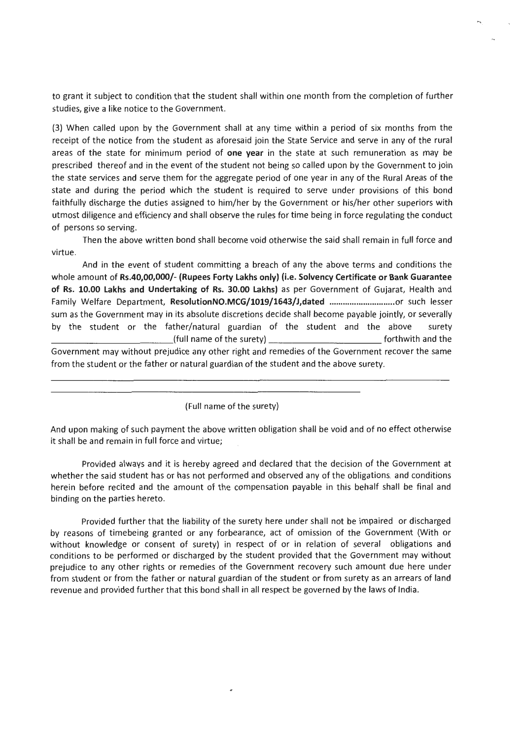to grant it subject to condition that the student shall within one month from the completion of further studies, give a like notice to the Government.

(3) When called upon by the Government shall at any time within a period of six months from the receipt of the notice from the student as aforesaid join the State Service and serve in any of the rural areas of the state for minimum period of **one year** in the state at such remuneration as may be prescribed thereof and in the event of the student not being so called upon by the Government to join the state services and serve them for the aggregate period of one year in any of the Rural Areas of the state and during the period which the student is required to serve under provisions of this bond faithfully discharge the duties assigned to him/her by the Government or his/her other superiors with utmost diligence and efficiency and shall observe the rules for time being in force regulating the conduct of persons so serving.

Then the above written bond shall become void otherwise the said shall remain in full force and virtue.

And in the event of student committing a breach of any the above terms and conditions the whole amount of **Rs.40,00,000/- (Rupees Forty Lakhs only) (i.e. Solvency Certificate or Bank Guarantee of Rs. 10.00 Lakhs and Undertaking of** Rs. **30.00 Lakhs)** as per Government of Gujarat, Health and Family Welfare Department, **ResolutionNO.MCG/1019/1643/J,dated** ............................. or such lesser sum as the Government may in its absolute discretions decide shall become payable jointly, or severally by the student or the father/natural guardian of the student and the above surety  $_I$ (full name of the surety)  $\frac{I}{I}$  forthwith and the Government may without prejudice any other right and remedies of the Government recover the same from the student or the father or natural guardian of the student and the above surety.

(Full name of the surety)

And upon making of such payment the above written obligation shall be void and of no effect otherwise it shall be and remain in full force and virtue;

Provided always and it is hereby agreed and declared that the decision of the Government at whether the said student has or has not performed and observed any of the obligations. and conditions herein before recited and the amount of the compensation payable in this behalf shall be final and binding on the parties hereto.

Provided further that the liability of the surety here under shall not be impaired or discharged by reasons of timebeing granted or any forbearance, act of omission of the Government (With or without knowledge or consent of surety) in respect of or in relation of several obligations and conditions to be performed or discharged by the student provided that the Government may without prejudice to any other rights or remedies of the Government recovery such amount due here under from student or from the father or natural guardian of the student or from surety as an arrears of land revenue and provided further that this bond shall in all respect be governed by the laws of India.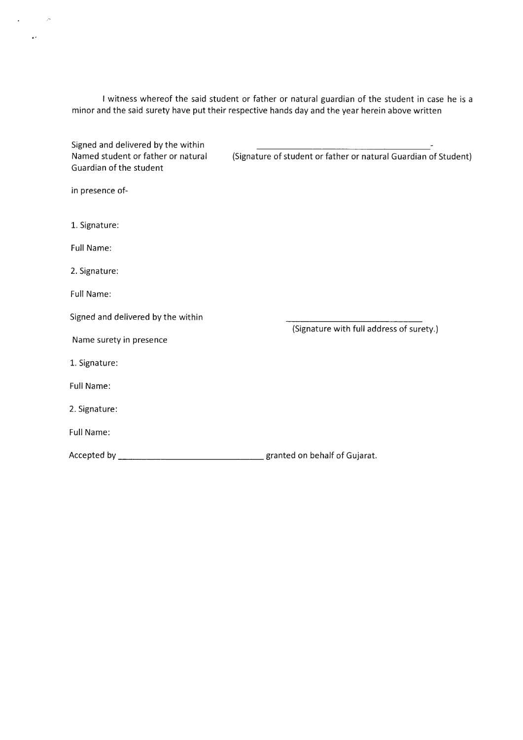I witness whereof the said student or father or natural guardian of the student in case he is a minor and the said surety have put their respective hands day and the year herein above written

 $\mathcal{L}(\mathbf{r})$  and  $\mathcal{L}(\mathbf{r})$  $\sim 10^{11}$ 

| Signed and delivered by the within                            |                                                                 |
|---------------------------------------------------------------|-----------------------------------------------------------------|
| Named student or father or natural<br>Guardian of the student | (Signature of student or father or natural Guardian of Student) |
| in presence of-                                               |                                                                 |
| 1. Signature:                                                 |                                                                 |
| <b>Full Name:</b>                                             |                                                                 |
| 2. Signature:                                                 |                                                                 |
| <b>Full Name:</b>                                             |                                                                 |
| Signed and delivered by the within                            |                                                                 |
| Name surety in presence                                       | (Signature with full address of surety.)                        |
| 1. Signature:                                                 |                                                                 |
| <b>Full Name:</b>                                             |                                                                 |
| 2. Signature:                                                 |                                                                 |
| <b>Full Name:</b>                                             |                                                                 |
| Accepted by ____                                              | granted on behalf of Gujarat.                                   |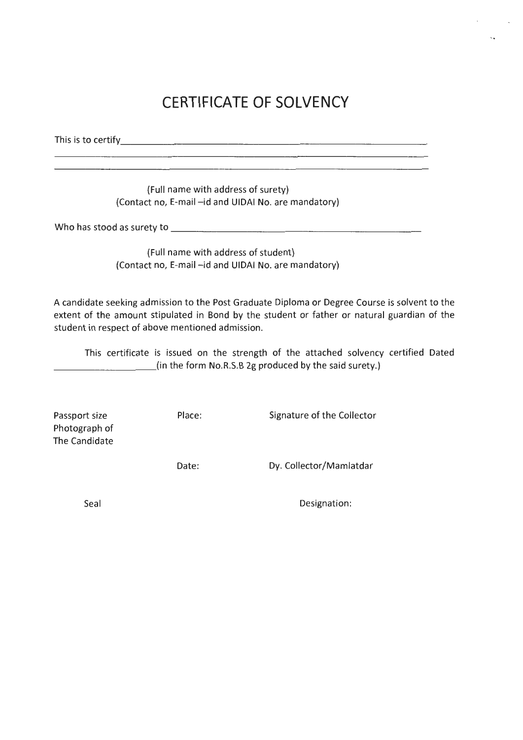# **CERTIFICATE OF SOLVENCY**

This is to certify  $\overline{\phantom{a}}$ 

(Full name with address of surety) (Contact no, E-mail -id and UIDAI No. are mandatory)

Who has stood as surety to---------------------

(Full name with address of student) (Contact no, E-mail -id and UIDAI No. are mandatory)

A candidate seeking admission to the Post Graduate Diploma or Degree Course is solvent to the extent of the amount stipulated in Bond by the student or father or natural guardian of the student in respect of above mentioned admission.

This certificate is issued on the strength of the attached solvency certified Dated \_\_\_\_\_\_\_\_\_ (in the form No.R.S.B 2g produced by the said surety.)

Passport size Photograph of The Candidate Place: Signature of the Collector

Date:

Dy. Collector/Mamlatdar

Seal

Designation: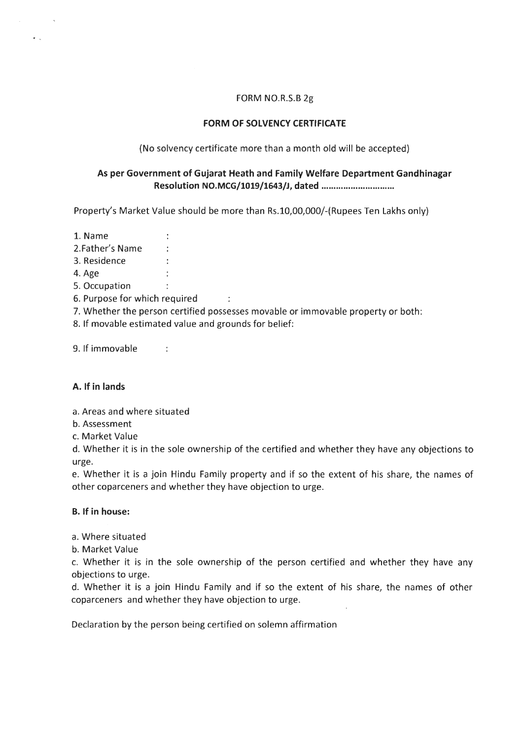#### FORM NO.R.S.B 2g

#### **FORM OF SOLVENCY CERTIFICATE**

(No solvency certificate more than a month old will be accepted)

#### **As per Government of Gujarat Heath and Family Welfare Department Gandhinagar Resolution NO.MCG/1019/1643/J, dated** ............................. .

Property's Market Value should be more than Rs.10,00,000/-(Rupees Ten Lakhs only)

- 1. Name
- 2.Father's Name
- 3. Residence
- 4.Age
- 5. Occupation
- 6. Purpose for which required
- 7. Whether the person certified possesses movable or immovable property or both:

 $\sim$  100  $\pm$ 

8. If movable estimated value and grounds for belief:

 $\pm$ 

 $\sim 1$ 

9. If immovable

#### **A. If in lands**

- a. Areas and where situated
- b. Assessment
- c. Market Value

d. Whether it is in the sole ownership of the certified and whether they have any objections to urge.

e. Whether it is a join Hindu Family property and if so the extent of his share, the names of other coparceners and whether they have objection to urge.

#### **B. If in house:**

- a. Where situated
- b. Market Value

c. Whether it is in the sole ownership of the person certified and whether they have any objections to urge.

d. Whether it is a join Hindu Family and if so the extent of his share, the names of other coparceners and whether they have objection to urge.

Declaration by the person being certified on solemn affirmation